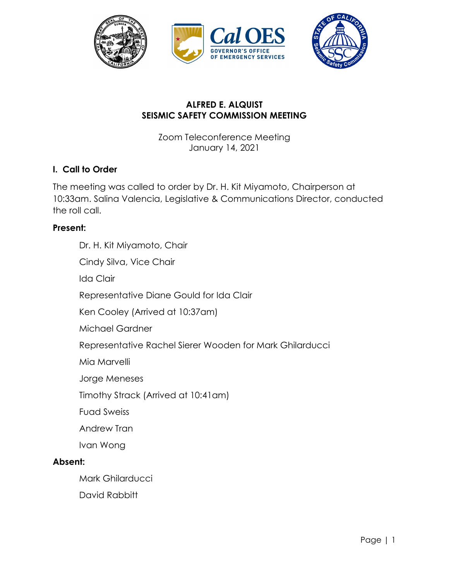

## **ALFRED E. ALQUIST SEISMIC SAFETY COMMISSION MEETING**

Zoom Teleconference Meeting January 14, 2021

#### **I. Call to Order**

The meeting was called to order by Dr. H. Kit Miyamoto, Chairperson at 10:33am. Salina Valencia, Legislative & Communications Director, conducted the roll call.

#### **Present:**

Dr. H. Kit Miyamoto, Chair Cindy Silva, Vice Chair Ida Clair Representative Diane Gould for Ida Clair Ken Cooley (Arrived at 10:37am) Michael Gardner Representative Rachel Sierer Wooden for Mark Ghilarducci Mia Marvelli Jorge Meneses Timothy Strack (Arrived at 10:41am) Fuad Sweiss Andrew Tran Ivan Wong **Absent:**  Mark Ghilarducci

David Rabbitt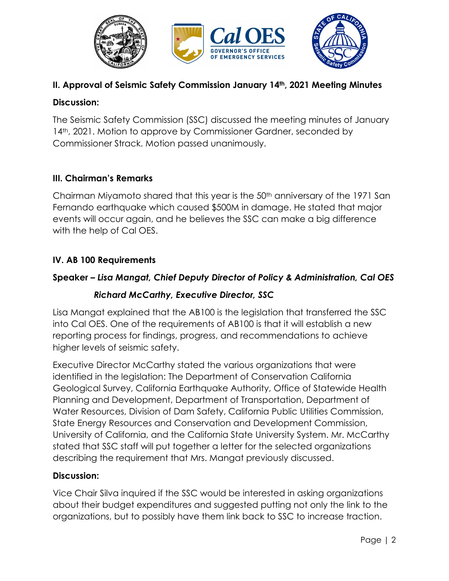

# **II. Approval of Seismic Safety Commission January 14th, 2021 Meeting Minutes**

#### **Discussion:**

The Seismic Safety Commission (SSC) discussed the meeting minutes of January 14<sup>th</sup>, 2021. Motion to approve by Commissioner Gardner, seconded by Commissioner Strack. Motion passed unanimously.

## **III. Chairman's Remarks**

Chairman Miyamoto shared that this year is the 50th anniversary of the 1971 San Fernando earthquake which caused \$500M in damage. He stated that major events will occur again, and he believes the SSC can make a big difference with the help of Cal OES.

## **IV. AB 100 Requirements**

## **Speaker** *– Lisa Mangat, Chief Deputy Director of Policy & Administration, Cal OES*

#### *Richard McCarthy, Executive Director, SSC*

Lisa Mangat explained that the AB100 is the legislation that transferred the SSC into Cal OES. One of the requirements of AB100 is that it will establish a new reporting process for findings, progress, and recommendations to achieve higher levels of seismic safety.

Executive Director McCarthy stated the various organizations that were identified in the legislation: The Department of Conservation California Geological Survey, California Earthquake Authority, Office of Statewide Health Planning and Development, Department of Transportation, Department of Water Resources, Division of Dam Safety, California Public Utilities Commission, State Energy Resources and Conservation and Development Commission, University of California, and the California State University System. Mr. McCarthy stated that SSC staff will put together a letter for the selected organizations describing the requirement that Mrs. Mangat previously discussed.

#### **Discussion:**

Vice Chair Silva inquired if the SSC would be interested in asking organizations about their budget expenditures and suggested putting not only the link to the organizations, but to possibly have them link back to SSC to increase traction.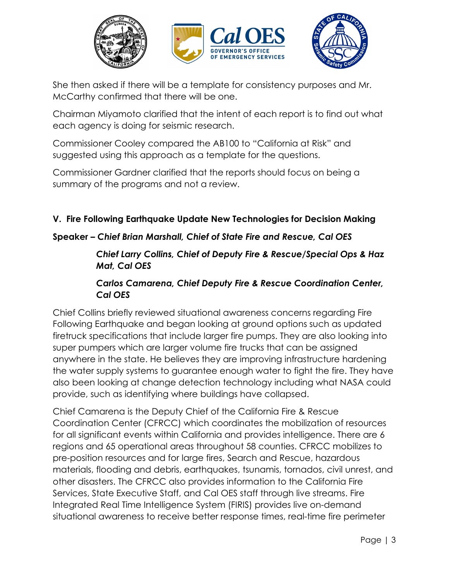

She then asked if there will be a template for consistency purposes and Mr. McCarthy confirmed that there will be one.

Chairman Miyamoto clarified that the intent of each report is to find out what each agency is doing for seismic research.

Commissioner Cooley compared the AB100 to "California at Risk" and suggested using this approach as a template for the questions.

Commissioner Gardner clarified that the reports should focus on being a summary of the programs and not a review.

## **V. Fire Following Earthquake Update New Technologies for Decision Making**

## **Speaker** *– Chief Brian Marshall, Chief of State Fire and Rescue, Cal OES*

#### *Chief Larry Collins, Chief of Deputy Fire & Rescue/Special Ops & Haz Mat, Cal OES*

## *Carlos Camarena, Chief Deputy Fire & Rescue Coordination Center, Cal OES*

Chief Collins briefly reviewed situational awareness concerns regarding Fire Following Earthquake and began looking at ground options such as updated firetruck specifications that include larger fire pumps. They are also looking into super pumpers which are larger volume fire trucks that can be assigned anywhere in the state. He believes they are improving infrastructure hardening the water supply systems to guarantee enough water to fight the fire. They have also been looking at change detection technology including what NASA could provide, such as identifying where buildings have collapsed.

Chief Camarena is the Deputy Chief of the California Fire & Rescue Coordination Center (CFRCC) which coordinates the mobilization of resources for all significant events within California and provides intelligence. There are 6 regions and 65 operational areas throughout 58 counties. CFRCC mobilizes to pre-position resources and for large fires, Search and Rescue, hazardous materials, flooding and debris, earthquakes, tsunamis, tornados, civil unrest, and other disasters. The CFRCC also provides information to the California Fire Services, State Executive Staff, and Cal OES staff through live streams. Fire Integrated Real Time Intelligence System (FIRIS) provides live on-demand situational awareness to receive better response times, real-time fire perimeter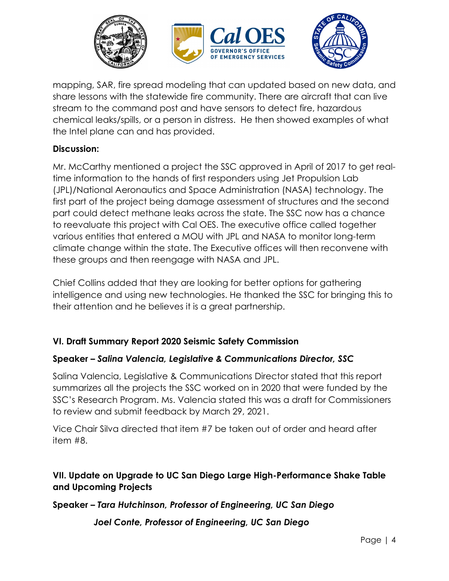

mapping, SAR, fire spread modeling that can updated based on new data, and share lessons with the statewide fire community. There are aircraft that can live stream to the command post and have sensors to detect fire, hazardous chemical leaks/spills, or a person in distress. He then showed examples of what the Intel plane can and has provided.

#### **Discussion:**

Mr. McCarthy mentioned a project the SSC approved in April of 2017 to get realtime information to the hands of first responders using Jet Propulsion Lab (JPL)/National Aeronautics and Space Administration (NASA) technology. The first part of the project being damage assessment of structures and the second part could detect methane leaks across the state. The SSC now has a chance to reevaluate this project with Cal OES. The executive office called together various entities that entered a MOU with JPL and NASA to monitor long-term climate change within the state. The Executive offices will then reconvene with these groups and then reengage with NASA and JPL.

Chief Collins added that they are looking for better options for gathering intelligence and using new technologies. He thanked the SSC for bringing this to their attention and he believes it is a great partnership.

## **VI. Draft Summary Report 2020 Seismic Safety Commission**

#### **Speaker** *– Salina Valencia, Legislative & Communications Director, SSC*

Salina Valencia, Legislative & Communications Director stated that this report summarizes all the projects the SSC worked on in 2020 that were funded by the SSC's Research Program. Ms. Valencia stated this was a draft for Commissioners to review and submit feedback by March 29, 2021.

Vice Chair Silva directed that item #7 be taken out of order and heard after item #8.

## **VII. Update on Upgrade to UC San Diego Large High-Performance Shake Table and Upcoming Projects**

**Speaker –** *Tara Hutchinson, Professor of Engineering, UC San Diego*

 *Joel Conte, Professor of Engineering, UC San Diego*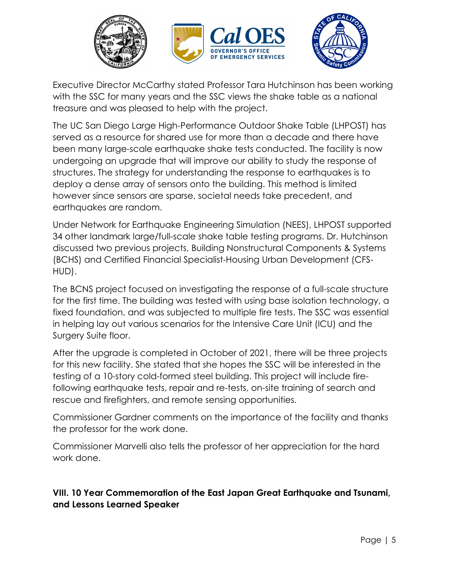

Executive Director McCarthy stated Professor Tara Hutchinson has been working with the SSC for many years and the SSC views the shake table as a national treasure and was pleased to help with the project.

The UC San Diego Large High-Performance Outdoor Shake Table (LHPOST) has served as a resource for shared use for more than a decade and there have been many large-scale earthquake shake tests conducted. The facility is now undergoing an upgrade that will improve our ability to study the response of structures. The strategy for understanding the response to earthquakes is to deploy a dense array of sensors onto the building. This method is limited however since sensors are sparse, societal needs take precedent, and earthquakes are random.

Under Network for Earthquake Engineering Simulation (NEES), LHPOST supported 34 other landmark large/full-scale shake table testing programs. Dr. Hutchinson discussed two previous projects, Building Nonstructural Components & Systems (BCHS) and Certified Financial Specialist-Housing Urban Development (CFS-HUD).

The BCNS project focused on investigating the response of a full-scale structure for the first time. The building was tested with using base isolation technology, a fixed foundation, and was subjected to multiple fire tests. The SSC was essential in helping lay out various scenarios for the Intensive Care Unit (ICU) and the Surgery Suite floor.

After the upgrade is completed in October of 2021, there will be three projects for this new facility. She stated that she hopes the SSC will be interested in the testing of a 10-story cold-formed steel building. This project will include firefollowing earthquake tests, repair and re-tests, on-site training of search and rescue and firefighters, and remote sensing opportunities.

Commissioner Gardner comments on the importance of the facility and thanks the professor for the work done.

Commissioner Marvelli also tells the professor of her appreciation for the hard work done.

# **VIII. 10 Year Commemoration of the East Japan Great Earthquake and Tsunami, and Lessons Learned Speaker**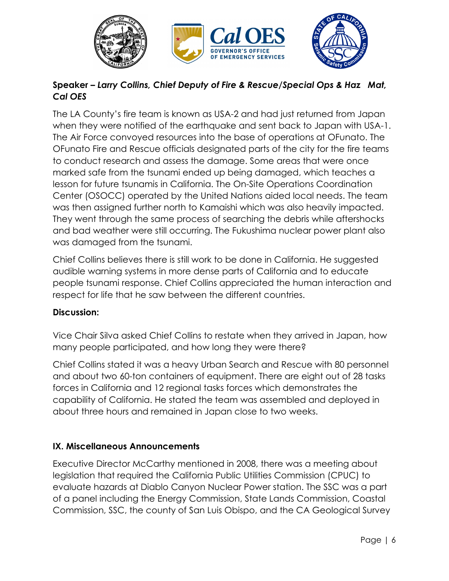

# **Speaker –** *Larry Collins, Chief Deputy of Fire & Rescue/Special Ops & Haz Mat, Cal OES*

The LA County's fire team is known as USA-2 and had just returned from Japan when they were notified of the earthquake and sent back to Japan with USA-1. The Air Force convoyed resources into the base of operations at OFunato. The OFunato Fire and Rescue officials designated parts of the city for the fire teams to conduct research and assess the damage. Some areas that were once marked safe from the tsunami ended up being damaged, which teaches a lesson for future tsunamis in California. The On-Site Operations Coordination Center (OSOCC) operated by the United Nations aided local needs. The team was then assigned further north to Kamaishi which was also heavily impacted. They went through the same process of searching the debris while aftershocks and bad weather were still occurring. The Fukushima nuclear power plant also was damaged from the tsunami.

Chief Collins believes there is still work to be done in California. He suggested audible warning systems in more dense parts of California and to educate people tsunami response. Chief Collins appreciated the human interaction and respect for life that he saw between the different countries.

## **Discussion:**

Vice Chair Silva asked Chief Collins to restate when they arrived in Japan, how many people participated, and how long they were there?

Chief Collins stated it was a heavy Urban Search and Rescue with 80 personnel and about two 60-ton containers of equipment. There are eight out of 28 tasks forces in California and 12 regional tasks forces which demonstrates the capability of California. He stated the team was assembled and deployed in about three hours and remained in Japan close to two weeks.

## **IX. Miscellaneous Announcements**

Executive Director McCarthy mentioned in 2008, there was a meeting about legislation that required the California Public Utilities Commission (CPUC) to evaluate hazards at Diablo Canyon Nuclear Power station. The SSC was a part of a panel including the Energy Commission, State Lands Commission, Coastal Commission, SSC, the county of San Luis Obispo, and the CA Geological Survey